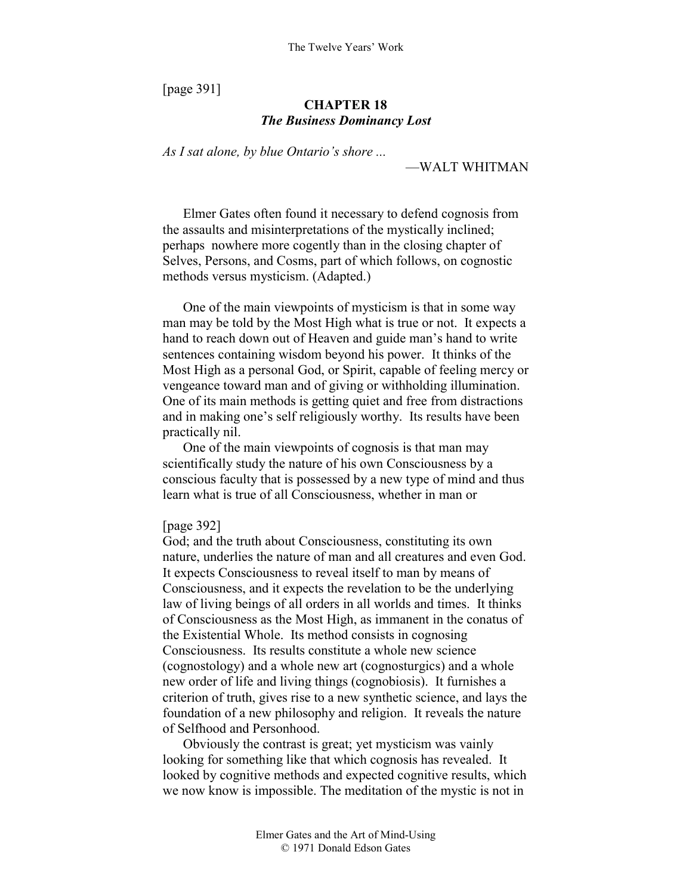[page 391]

# **CHAPTER 18**  *The Business Dominancy Lost*

*As I sat alone, by blue Ontario's shore ...* 

—WALT WHITMAN

Elmer Gates often found it necessary to defend cognosis from the assaults and misinterpretations of the mystically inclined; perhaps nowhere more cogently than in the closing chapter of Selves, Persons, and Cosms, part of which follows, on cognostic methods versus mysticism. (Adapted.)

One of the main viewpoints of mysticism is that in some way man may be told by the Most High what is true or not. It expects a hand to reach down out of Heaven and guide man's hand to write sentences containing wisdom beyond his power. It thinks of the Most High as a personal God, or Spirit, capable of feeling mercy or vengeance toward man and of giving or withholding illumination. One of its main methods is getting quiet and free from distractions and in making one's self religiously worthy. Its results have been practically nil.

One of the main viewpoints of cognosis is that man may scientifically study the nature of his own Consciousness by a conscious faculty that is possessed by a new type of mind and thus learn what is true of all Consciousness, whether in man or

## [page 392]

God; and the truth about Consciousness, constituting its own nature, underlies the nature of man and all creatures and even God. It expects Consciousness to reveal itself to man by means of Consciousness, and it expects the revelation to be the underlying law of living beings of all orders in all worlds and times. It thinks of Consciousness as the Most High, as immanent in the conatus of the Existential Whole. Its method consists in cognosing Consciousness. Its results constitute a whole new science (cognostology) and a whole new art (cognosturgics) and a whole new order of life and living things (cognobiosis). It furnishes a criterion of truth, gives rise to a new synthetic science, and lays the foundation of a new philosophy and religion. It reveals the nature of Selfhood and Personhood.

Obviously the contrast is great; yet mysticism was vainly looking for something like that which cognosis has revealed. It looked by cognitive methods and expected cognitive results, which we now know is impossible. The meditation of the mystic is not in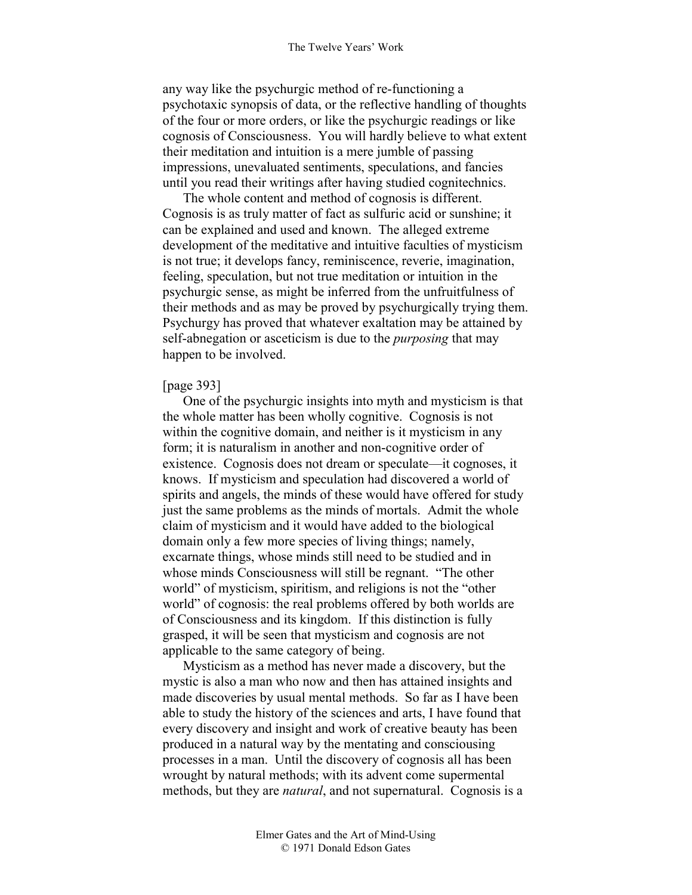any way like the psychurgic method of re-functioning a psychotaxic synopsis of data, or the reflective handling of thoughts of the four or more orders, or like the psychurgic readings or like cognosis of Consciousness. You will hardly believe to what extent their meditation and intuition is a mere jumble of passing impressions, unevaluated sentiments, speculations, and fancies until you read their writings after having studied cognitechnics.

The whole content and method of cognosis is different. Cognosis is as truly matter of fact as sulfuric acid or sunshine; it can be explained and used and known. The alleged extreme development of the meditative and intuitive faculties of mysticism is not true; it develops fancy, reminiscence, reverie, imagination, feeling, speculation, but not true meditation or intuition in the psychurgic sense, as might be inferred from the unfruitfulness of their methods and as may be proved by psychurgically trying them. Psychurgy has proved that whatever exaltation may be attained by self-abnegation or asceticism is due to the *purposing* that may happen to be involved.

# [page 393]

One of the psychurgic insights into myth and mysticism is that the whole matter has been wholly cognitive. Cognosis is not within the cognitive domain, and neither is it mysticism in any form; it is naturalism in another and non-cognitive order of existence. Cognosis does not dream or speculate—it cognoses, it knows. If mysticism and speculation had discovered a world of spirits and angels, the minds of these would have offered for study just the same problems as the minds of mortals. Admit the whole claim of mysticism and it would have added to the biological domain only a few more species of living things; namely, excarnate things, whose minds still need to be studied and in whose minds Consciousness will still be regnant. "The other world" of mysticism, spiritism, and religions is not the "other world" of cognosis: the real problems offered by both worlds are of Consciousness and its kingdom. If this distinction is fully grasped, it will be seen that mysticism and cognosis are not applicable to the same category of being.

Mysticism as a method has never made a discovery, but the mystic is also a man who now and then has attained insights and made discoveries by usual mental methods. So far as I have been able to study the history of the sciences and arts, I have found that every discovery and insight and work of creative beauty has been produced in a natural way by the mentating and consciousing processes in a man. Until the discovery of cognosis all has been wrought by natural methods; with its advent come supermental methods, but they are *natural*, and not supernatural. Cognosis is a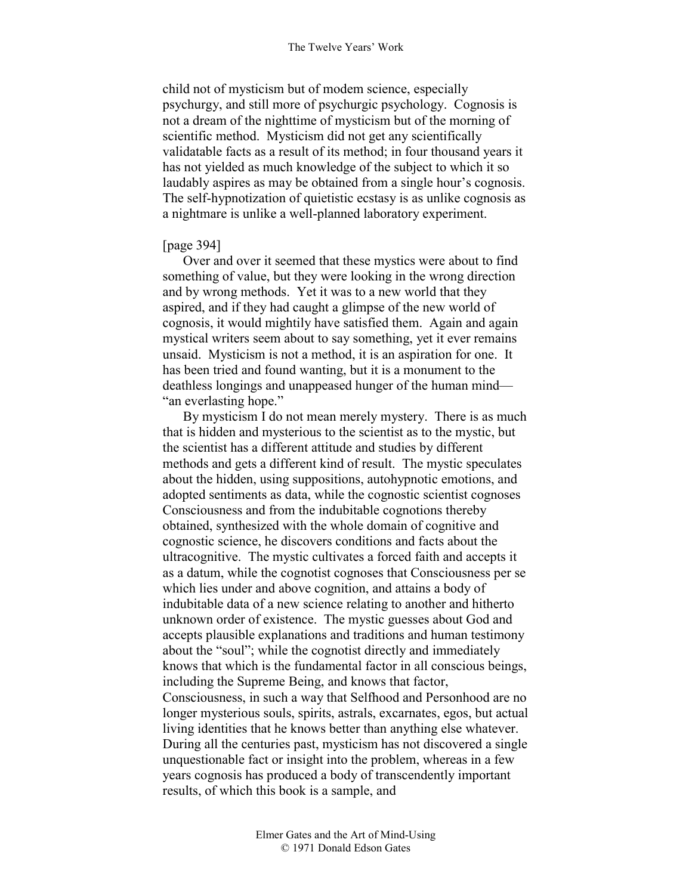child not of mysticism but of modem science, especially psychurgy, and still more of psychurgic psychology. Cognosis is not a dream of the nighttime of mysticism but of the morning of scientific method. Mysticism did not get any scientifically validatable facts as a result of its method; in four thousand years it has not yielded as much knowledge of the subject to which it so laudably aspires as may be obtained from a single hour's cognosis. The self-hypnotization of quietistic ecstasy is as unlike cognosis as a nightmare is unlike a well-planned laboratory experiment.

### [page 394]

Over and over it seemed that these mystics were about to find something of value, but they were looking in the wrong direction and by wrong methods. Yet it was to a new world that they aspired, and if they had caught a glimpse of the new world of cognosis, it would mightily have satisfied them. Again and again mystical writers seem about to say something, yet it ever remains unsaid. Mysticism is not a method, it is an aspiration for one. It has been tried and found wanting, but it is a monument to the deathless longings and unappeased hunger of the human mind— "an everlasting hope."

By mysticism I do not mean merely mystery. There is as much that is hidden and mysterious to the scientist as to the mystic, but the scientist has a different attitude and studies by different methods and gets a different kind of result. The mystic speculates about the hidden, using suppositions, autohypnotic emotions, and adopted sentiments as data, while the cognostic scientist cognoses Consciousness and from the indubitable cognotions thereby obtained, synthesized with the whole domain of cognitive and cognostic science, he discovers conditions and facts about the ultracognitive. The mystic cultivates a forced faith and accepts it as a datum, while the cognotist cognoses that Consciousness per se which lies under and above cognition, and attains a body of indubitable data of a new science relating to another and hitherto unknown order of existence. The mystic guesses about God and accepts plausible explanations and traditions and human testimony about the "soul"; while the cognotist directly and immediately knows that which is the fundamental factor in all conscious beings, including the Supreme Being, and knows that factor, Consciousness, in such a way that Selfhood and Personhood are no longer mysterious souls, spirits, astrals, excarnates, egos, but actual living identities that he knows better than anything else whatever. During all the centuries past, mysticism has not discovered a single unquestionable fact or insight into the problem, whereas in a few years cognosis has produced a body of transcendently important results, of which this book is a sample, and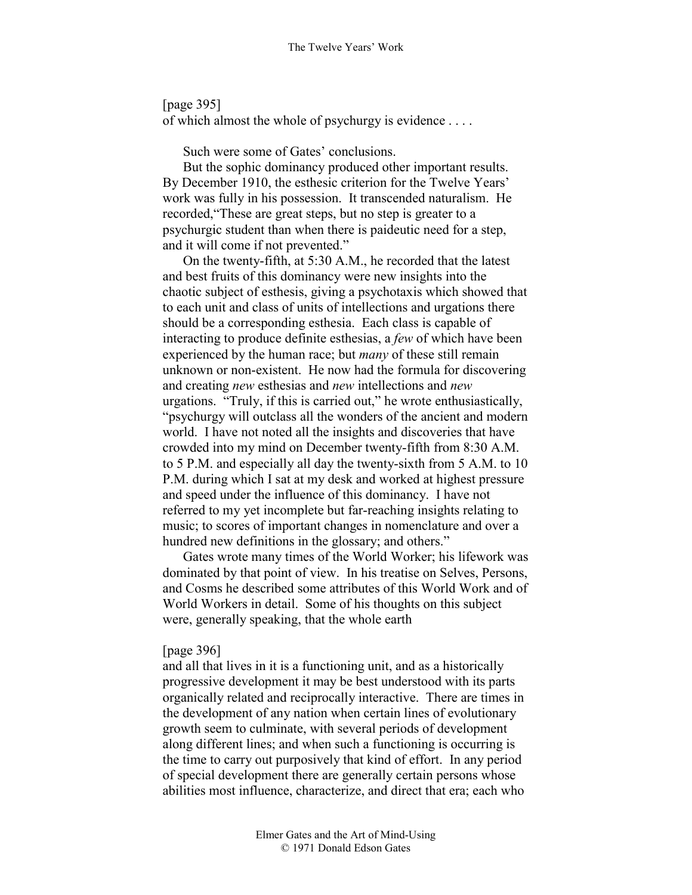# [page 395]

of which almost the whole of psychurgy is evidence . . . .

Such were some of Gates' conclusions.

But the sophic dominancy produced other important results. By December 1910, the esthesic criterion for the Twelve Years' work was fully in his possession. It transcended naturalism. He recorded,"These are great steps, but no step is greater to a psychurgic student than when there is paideutic need for a step, and it will come if not prevented."

On the twenty-fifth, at 5:30 A.M., he recorded that the latest and best fruits of this dominancy were new insights into the chaotic subject of esthesis, giving a psychotaxis which showed that to each unit and class of units of intellections and urgations there should be a corresponding esthesia. Each class is capable of interacting to produce definite esthesias, a *few* of which have been experienced by the human race; but *many* of these still remain unknown or non-existent. He now had the formula for discovering and creating *new* esthesias and *new* intellections and *new* urgations. "Truly, if this is carried out," he wrote enthusiastically, "psychurgy will outclass all the wonders of the ancient and modern world. I have not noted all the insights and discoveries that have crowded into my mind on December twenty-fifth from 8:30 A.M. to 5 P.M. and especially all day the twenty-sixth from 5 A.M. to 10 P.M. during which I sat at my desk and worked at highest pressure and speed under the influence of this dominancy. I have not referred to my yet incomplete but far-reaching insights relating to music; to scores of important changes in nomenclature and over a hundred new definitions in the glossary; and others."

Gates wrote many times of the World Worker; his lifework was dominated by that point of view. In his treatise on Selves, Persons, and Cosms he described some attributes of this World Work and of World Workers in detail. Some of his thoughts on this subject were, generally speaking, that the whole earth

#### [page 396]

and all that lives in it is a functioning unit, and as a historically progressive development it may be best understood with its parts organically related and reciprocally interactive. There are times in the development of any nation when certain lines of evolutionary growth seem to culminate, with several periods of development along different lines; and when such a functioning is occurring is the time to carry out purposively that kind of effort. In any period of special development there are generally certain persons whose abilities most influence, characterize, and direct that era; each who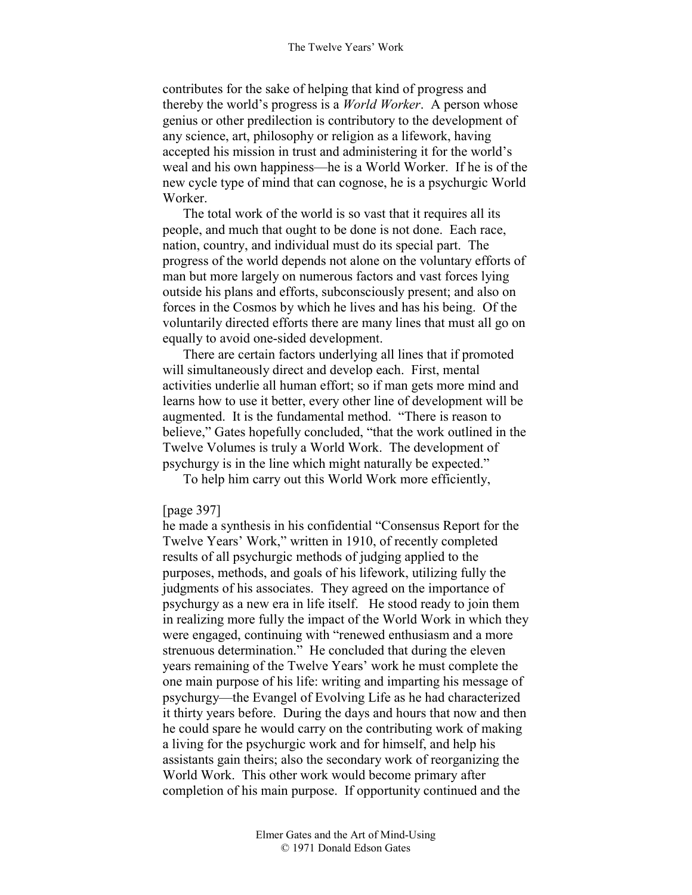contributes for the sake of helping that kind of progress and thereby the world's progress is a *World Worker*. A person whose genius or other predilection is contributory to the development of any science, art, philosophy or religion as a lifework, having accepted his mission in trust and administering it for the world's weal and his own happiness—he is a World Worker. If he is of the new cycle type of mind that can cognose, he is a psychurgic World Worker.

The total work of the world is so vast that it requires all its people, and much that ought to be done is not done. Each race, nation, country, and individual must do its special part. The progress of the world depends not alone on the voluntary efforts of man but more largely on numerous factors and vast forces lying outside his plans and efforts, subconsciously present; and also on forces in the Cosmos by which he lives and has his being. Of the voluntarily directed efforts there are many lines that must all go on equally to avoid one-sided development.

There are certain factors underlying all lines that if promoted will simultaneously direct and develop each. First, mental activities underlie all human effort; so if man gets more mind and learns how to use it better, every other line of development will be augmented. It is the fundamental method. "There is reason to believe," Gates hopefully concluded, "that the work outlined in the Twelve Volumes is truly a World Work. The development of psychurgy is in the line which might naturally be expected."

To help him carry out this World Work more efficiently,

## [page 397]

he made a synthesis in his confidential "Consensus Report for the Twelve Years' Work," written in 1910, of recently completed results of all psychurgic methods of judging applied to the purposes, methods, and goals of his lifework, utilizing fully the judgments of his associates. They agreed on the importance of psychurgy as a new era in life itself. He stood ready to join them in realizing more fully the impact of the World Work in which they were engaged, continuing with "renewed enthusiasm and a more strenuous determination." He concluded that during the eleven years remaining of the Twelve Years' work he must complete the one main purpose of his life: writing and imparting his message of psychurgy—the Evangel of Evolving Life as he had characterized it thirty years before. During the days and hours that now and then he could spare he would carry on the contributing work of making a living for the psychurgic work and for himself, and help his assistants gain theirs; also the secondary work of reorganizing the World Work. This other work would become primary after completion of his main purpose. If opportunity continued and the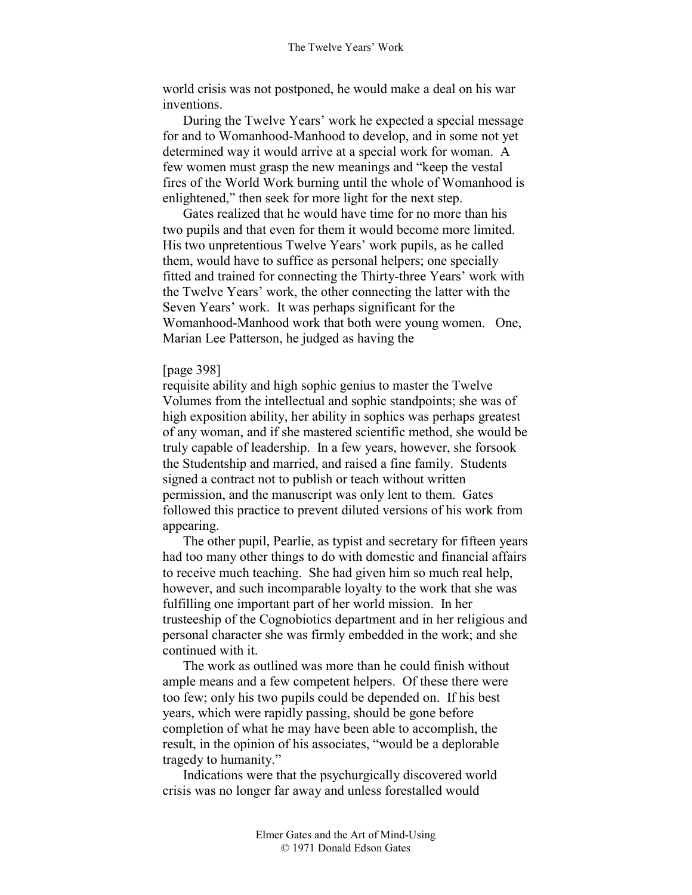world crisis was not postponed, he would make a deal on his war inventions.

During the Twelve Years' work he expected a special message for and to Womanhood-Manhood to develop, and in some not yet determined way it would arrive at a special work for woman. A few women must grasp the new meanings and "keep the vestal fires of the World Work burning until the whole of Womanhood is enlightened," then seek for more light for the next step.

Gates realized that he would have time for no more than his two pupils and that even for them it would become more limited. His two unpretentious Twelve Years' work pupils, as he called them, would have to suffice as personal helpers; one specially fitted and trained for connecting the Thirty-three Years' work with the Twelve Years' work, the other connecting the latter with the Seven Years' work. It was perhaps significant for the Womanhood-Manhood work that both were young women. One, Marian Lee Patterson, he judged as having the

## [page 398]

requisite ability and high sophic genius to master the Twelve Volumes from the intellectual and sophic standpoints; she was of high exposition ability, her ability in sophics was perhaps greatest of any woman, and if she mastered scientific method, she would be truly capable of leadership. In a few years, however, she forsook the Studentship and married, and raised a fine family. Students signed a contract not to publish or teach without written permission, and the manuscript was only lent to them. Gates followed this practice to prevent diluted versions of his work from appearing.

The other pupil, Pearlie, as typist and secretary for fifteen years had too many other things to do with domestic and financial affairs to receive much teaching. She had given him so much real help, however, and such incomparable loyalty to the work that she was fulfilling one important part of her world mission. In her trusteeship of the Cognobiotics department and in her religious and personal character she was firmly embedded in the work; and she continued with it.

The work as outlined was more than he could finish without ample means and a few competent helpers. Of these there were too few; only his two pupils could be depended on. If his best years, which were rapidly passing, should be gone before completion of what he may have been able to accomplish, the result, in the opinion of his associates, "would be a deplorable tragedy to humanity."

Indications were that the psychurgically discovered world crisis was no longer far away and unless forestalled would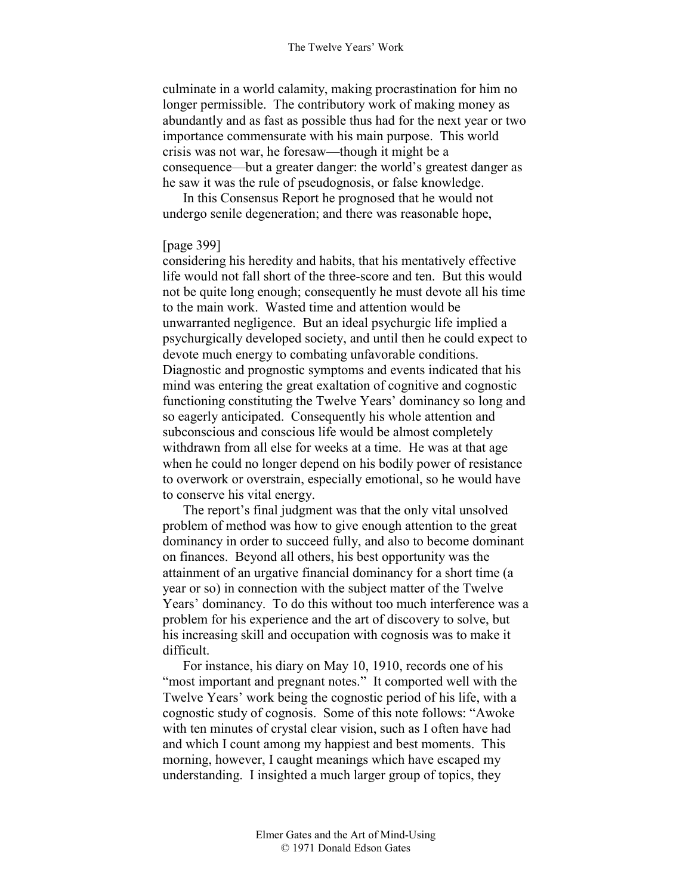culminate in a world calamity, making procrastination for him no longer permissible. The contributory work of making money as abundantly and as fast as possible thus had for the next year or two importance commensurate with his main purpose. This world crisis was not war, he foresaw—though it might be a consequence—but a greater danger: the world's greatest danger as he saw it was the rule of pseudognosis, or false knowledge.

In this Consensus Report he prognosed that he would not undergo senile degeneration; and there was reasonable hope,

## [page 399]

considering his heredity and habits, that his mentatively effective life would not fall short of the three-score and ten. But this would not be quite long enough; consequently he must devote all his time to the main work. Wasted time and attention would be unwarranted negligence. But an ideal psychurgic life implied a psychurgically developed society, and until then he could expect to devote much energy to combating unfavorable conditions. Diagnostic and prognostic symptoms and events indicated that his mind was entering the great exaltation of cognitive and cognostic functioning constituting the Twelve Years' dominancy so long and so eagerly anticipated. Consequently his whole attention and subconscious and conscious life would be almost completely withdrawn from all else for weeks at a time. He was at that age when he could no longer depend on his bodily power of resistance to overwork or overstrain, especially emotional, so he would have to conserve his vital energy.

The report's final judgment was that the only vital unsolved problem of method was how to give enough attention to the great dominancy in order to succeed fully, and also to become dominant on finances. Beyond all others, his best opportunity was the attainment of an urgative financial dominancy for a short time (a year or so) in connection with the subject matter of the Twelve Years' dominancy. To do this without too much interference was a problem for his experience and the art of discovery to solve, but his increasing skill and occupation with cognosis was to make it difficult.

For instance, his diary on May 10, 1910, records one of his "most important and pregnant notes." It comported well with the Twelve Years' work being the cognostic period of his life, with a cognostic study of cognosis. Some of this note follows: "Awoke with ten minutes of crystal clear vision, such as I often have had and which I count among my happiest and best moments. This morning, however, I caught meanings which have escaped my understanding. I insighted a much larger group of topics, they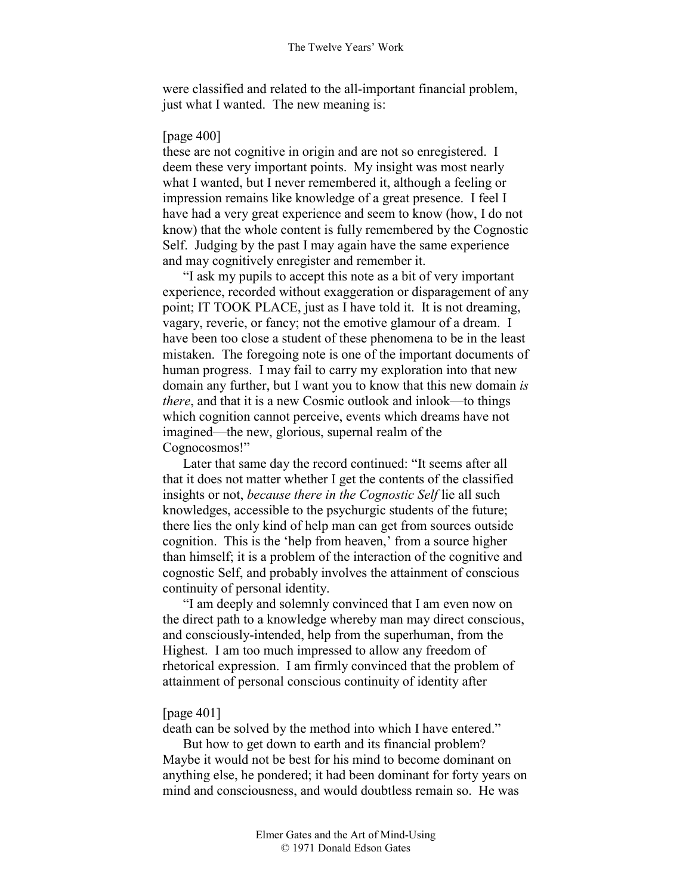were classified and related to the all-important financial problem, just what I wanted. The new meaning is:

# [page 400]

these are not cognitive in origin and are not so enregistered. I deem these very important points. My insight was most nearly what I wanted, but I never remembered it, although a feeling or impression remains like knowledge of a great presence. I feel I have had a very great experience and seem to know (how, I do not know) that the whole content is fully remembered by the Cognostic Self. Judging by the past I may again have the same experience and may cognitively enregister and remember it.

"I ask my pupils to accept this note as a bit of very important experience, recorded without exaggeration or disparagement of any point; IT TOOK PLACE, just as I have told it. It is not dreaming, vagary, reverie, or fancy; not the emotive glamour of a dream. I have been too close a student of these phenomena to be in the least mistaken. The foregoing note is one of the important documents of human progress. I may fail to carry my exploration into that new domain any further, but I want you to know that this new domain *is there*, and that it is a new Cosmic outlook and inlook—to things which cognition cannot perceive, events which dreams have not imagined—the new, glorious, supernal realm of the Cognocosmos!"

Later that same day the record continued: "It seems after all that it does not matter whether I get the contents of the classified insights or not, *because there in the Cognostic Self* lie all such knowledges, accessible to the psychurgic students of the future; there lies the only kind of help man can get from sources outside cognition. This is the 'help from heaven,' from a source higher than himself; it is a problem of the interaction of the cognitive and cognostic Self, and probably involves the attainment of conscious continuity of personal identity.

"I am deeply and solemnly convinced that I am even now on the direct path to a knowledge whereby man may direct conscious, and consciously-intended, help from the superhuman, from the Highest. I am too much impressed to allow any freedom of rhetorical expression. I am firmly convinced that the problem of attainment of personal conscious continuity of identity after

#### [page 401]

death can be solved by the method into which I have entered."

But how to get down to earth and its financial problem? Maybe it would not be best for his mind to become dominant on anything else, he pondered; it had been dominant for forty years on mind and consciousness, and would doubtless remain so. He was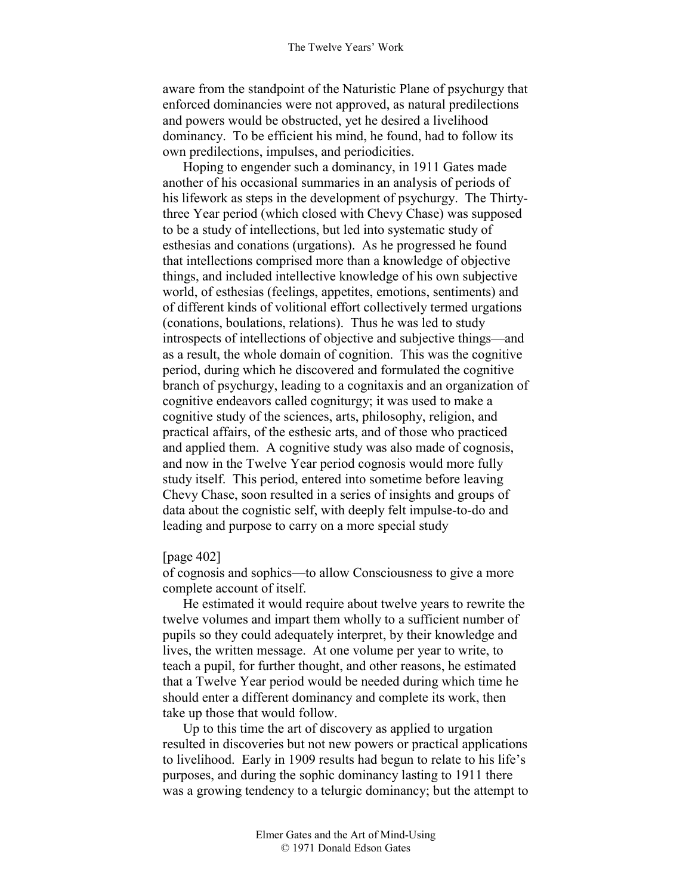aware from the standpoint of the Naturistic Plane of psychurgy that enforced dominancies were not approved, as natural predilections and powers would be obstructed, yet he desired a livelihood dominancy. To be efficient his mind, he found, had to follow its own predilections, impulses, and periodicities.

Hoping to engender such a dominancy, in 1911 Gates made another of his occasional summaries in an analysis of periods of his lifework as steps in the development of psychurgy. The Thirtythree Year period (which closed with Chevy Chase) was supposed to be a study of intellections, but led into systematic study of esthesias and conations (urgations). As he progressed he found that intellections comprised more than a knowledge of objective things, and included intellective knowledge of his own subjective world, of esthesias (feelings, appetites, emotions, sentiments) and of different kinds of volitional effort collectively termed urgations (conations, boulations, relations). Thus he was led to study introspects of intellections of objective and subjective things—and as a result, the whole domain of cognition. This was the cognitive period, during which he discovered and formulated the cognitive branch of psychurgy, leading to a cognitaxis and an organization of cognitive endeavors called cogniturgy; it was used to make a cognitive study of the sciences, arts, philosophy, religion, and practical affairs, of the esthesic arts, and of those who practiced and applied them. A cognitive study was also made of cognosis, and now in the Twelve Year period cognosis would more fully study itself. This period, entered into sometime before leaving Chevy Chase, soon resulted in a series of insights and groups of data about the cognistic self, with deeply felt impulse-to-do and leading and purpose to carry on a more special study

# [page 402]

of cognosis and sophics—to allow Consciousness to give a more complete account of itself.

He estimated it would require about twelve years to rewrite the twelve volumes and impart them wholly to a sufficient number of pupils so they could adequately interpret, by their knowledge and lives, the written message. At one volume per year to write, to teach a pupil, for further thought, and other reasons, he estimated that a Twelve Year period would be needed during which time he should enter a different dominancy and complete its work, then take up those that would follow.

Up to this time the art of discovery as applied to urgation resulted in discoveries but not new powers or practical applications to livelihood. Early in 1909 results had begun to relate to his life's purposes, and during the sophic dominancy lasting to 1911 there was a growing tendency to a telurgic dominancy; but the attempt to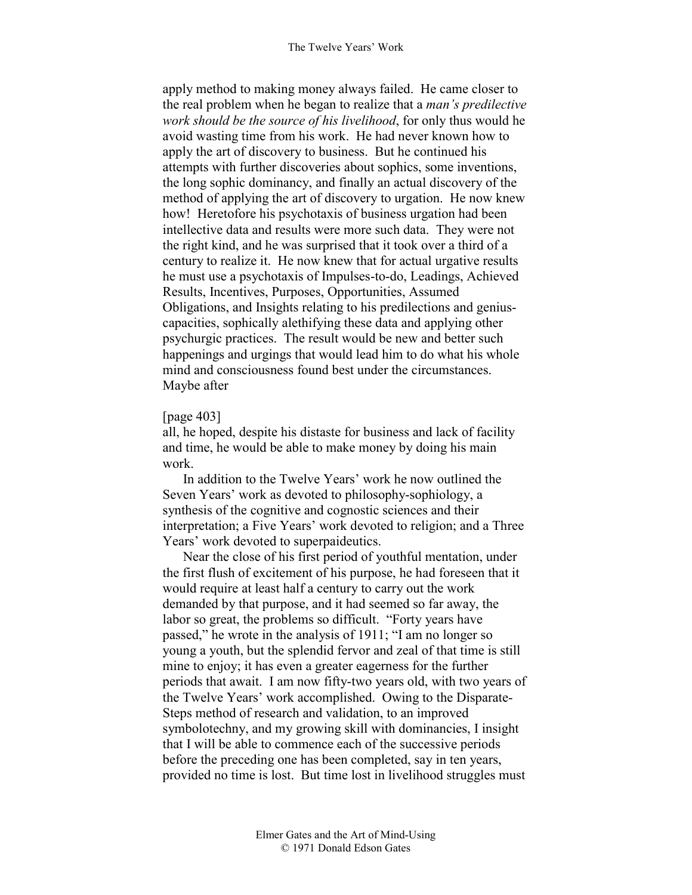apply method to making money always failed. He came closer to the real problem when he began to realize that a *man's predilective work should be the source of his livelihood*, for only thus would he avoid wasting time from his work. He had never known how to apply the art of discovery to business. But he continued his attempts with further discoveries about sophics, some inventions, the long sophic dominancy, and finally an actual discovery of the method of applying the art of discovery to urgation. He now knew how! Heretofore his psychotaxis of business urgation had been intellective data and results were more such data. They were not the right kind, and he was surprised that it took over a third of a century to realize it. He now knew that for actual urgative results he must use a psychotaxis of Impulses-to-do, Leadings, Achieved Results, Incentives, Purposes, Opportunities, Assumed Obligations, and Insights relating to his predilections and geniuscapacities, sophically alethifying these data and applying other psychurgic practices. The result would be new and better such happenings and urgings that would lead him to do what his whole mind and consciousness found best under the circumstances. Maybe after

# [page 403]

all, he hoped, despite his distaste for business and lack of facility and time, he would be able to make money by doing his main work.

In addition to the Twelve Years' work he now outlined the Seven Years' work as devoted to philosophy-sophiology, a synthesis of the cognitive and cognostic sciences and their interpretation; a Five Years' work devoted to religion; and a Three Years' work devoted to superpaideutics.

Near the close of his first period of youthful mentation, under the first flush of excitement of his purpose, he had foreseen that it would require at least half a century to carry out the work demanded by that purpose, and it had seemed so far away, the labor so great, the problems so difficult. "Forty years have passed," he wrote in the analysis of 1911; "I am no longer so young a youth, but the splendid fervor and zeal of that time is still mine to enjoy; it has even a greater eagerness for the further periods that await. I am now fifty-two years old, with two years of the Twelve Years' work accomplished. Owing to the Disparate-Steps method of research and validation, to an improved symbolotechny, and my growing skill with dominancies, I insight that I will be able to commence each of the successive periods before the preceding one has been completed, say in ten years, provided no time is lost. But time lost in livelihood struggles must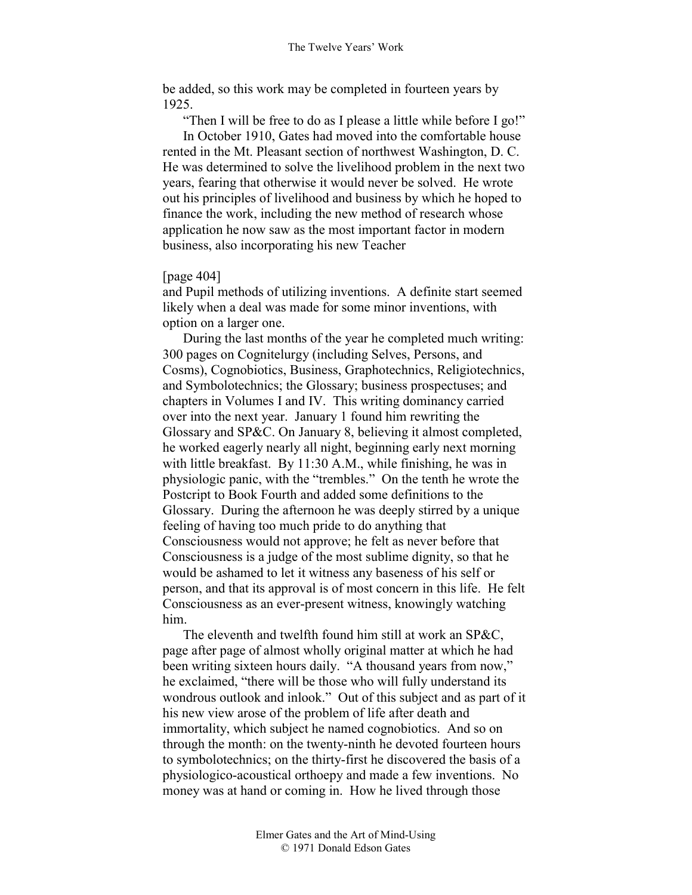be added, so this work may be completed in fourteen years by 1925.

"Then I will be free to do as I please a little while before I go!" In October 1910, Gates had moved into the comfortable house rented in the Mt. Pleasant section of northwest Washington, D. C. He was determined to solve the livelihood problem in the next two years, fearing that otherwise it would never be solved. He wrote out his principles of livelihood and business by which he hoped to finance the work, including the new method of research whose application he now saw as the most important factor in modern business, also incorporating his new Teacher

# [page 404]

and Pupil methods of utilizing inventions. A definite start seemed likely when a deal was made for some minor inventions, with option on a larger one.

During the last months of the year he completed much writing: 300 pages on Cognitelurgy (including Selves, Persons, and Cosms), Cognobiotics, Business, Graphotechnics, Religiotechnics, and Symbolotechnics; the Glossary; business prospectuses; and chapters in Volumes I and IV. This writing dominancy carried over into the next year. January 1 found him rewriting the Glossary and SP&C. On January 8, believing it almost completed, he worked eagerly nearly all night, beginning early next morning with little breakfast. By 11:30 A.M., while finishing, he was in physiologic panic, with the "trembles." On the tenth he wrote the Postcript to Book Fourth and added some definitions to the Glossary. During the afternoon he was deeply stirred by a unique feeling of having too much pride to do anything that Consciousness would not approve; he felt as never before that Consciousness is a judge of the most sublime dignity, so that he would be ashamed to let it witness any baseness of his self or person, and that its approval is of most concern in this life. He felt Consciousness as an ever-present witness, knowingly watching him.

The eleventh and twelfth found him still at work an SP&C, page after page of almost wholly original matter at which he had been writing sixteen hours daily. "A thousand years from now," he exclaimed, "there will be those who will fully understand its wondrous outlook and inlook." Out of this subject and as part of it his new view arose of the problem of life after death and immortality, which subject he named cognobiotics. And so on through the month: on the twenty-ninth he devoted fourteen hours to symbolotechnics; on the thirty-first he discovered the basis of a physiologico-acoustical orthoepy and made a few inventions. No money was at hand or coming in. How he lived through those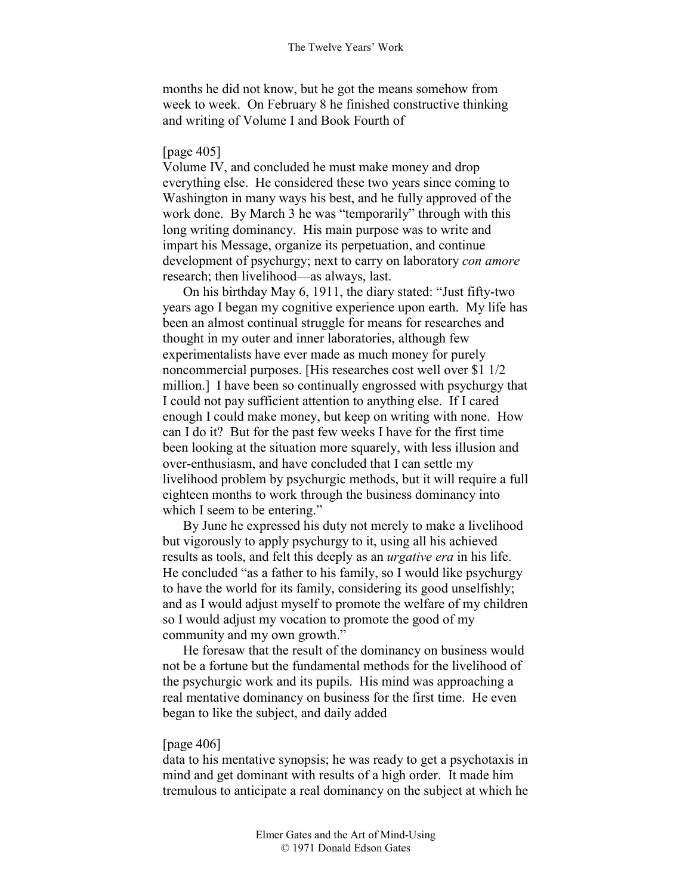months he did not know, but he got the means somehow from week to week. On February 8 he finished constructive thinking and writing of Volume I and Book Fourth of

## [page 405]

Volume IV, and concluded he must make money and drop everything else. He considered these two years since coming to Washington in many ways his best, and he fully approved of the work done. By March 3 he was "temporarily" through with this long writing dominancy. His main purpose was to write and impart his Message, organize its perpetuation, and continue development of psychurgy; next to carry on laboratory *con amore* research; then livelihood—as always, last.

On his birthday May 6, 1911, the diary stated: "Just fifty-two years ago I began my cognitive experience upon earth. My life has been an almost continual struggle for means for researches and thought in my outer and inner laboratories, although few experimentalists have ever made as much money for purely noncommercial purposes. [His researches cost well over \$1 1/2 million.] I have been so continually engrossed with psychurgy that I could not pay sufficient attention to anything else. If I cared enough I could make money, but keep on writing with none. How can I do it? But for the past few weeks I have for the first time been looking at the situation more squarely, with less illusion and over-enthusiasm, and have concluded that I can settle my livelihood problem by psychurgic methods, but it will require a full eighteen months to work through the business dominancy into which I seem to be entering."

By June he expressed his duty not merely to make a livelihood but vigorously to apply psychurgy to it, using all his achieved results as tools, and felt this deeply as an *urgative era* in his life. He concluded "as a father to his family, so I would like psychurgy to have the world for its family, considering its good unselfishly; and as I would adjust myself to promote the welfare of my children so I would adjust my vocation to promote the good of my community and my own growth."

He foresaw that the result of the dominancy on business would not be a fortune but the fundamental methods for the livelihood of the psychurgic work and its pupils. His mind was approaching a real mentative dominancy on business for the first time. He even began to like the subject, and daily added

#### [page 406]

data to his mentative synopsis; he was ready to get a psychotaxis in mind and get dominant with results of a high order. It made him tremulous to anticipate a real dominancy on the subject at which he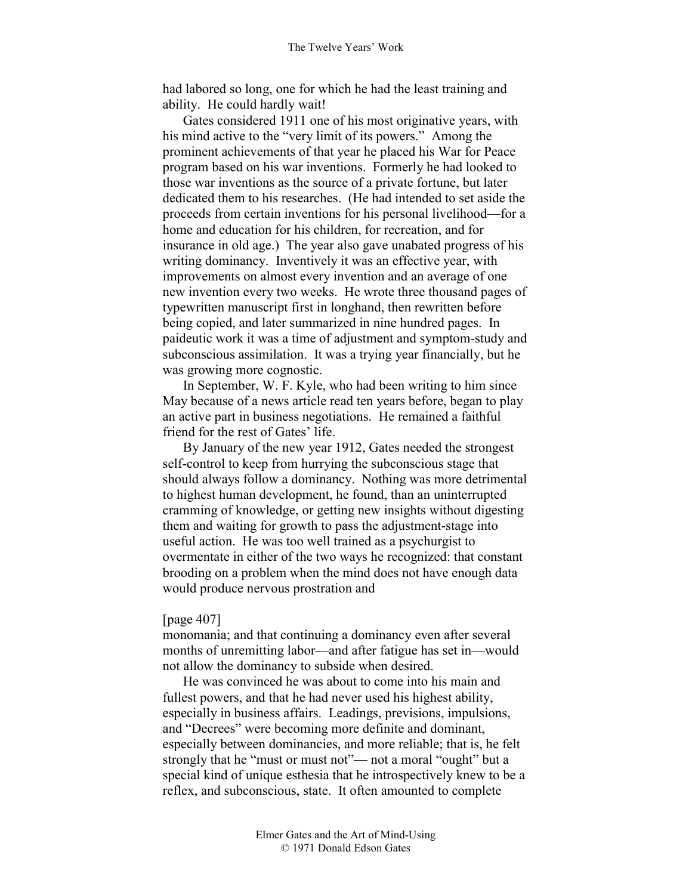had labored so long, one for which he had the least training and ability. He could hardly wait!

Gates considered 1911 one of his most originative years, with his mind active to the "very limit of its powers." Among the prominent achievements of that year he placed his War for Peace program based on his war inventions. Formerly he had looked to those war inventions as the source of a private fortune, but later dedicated them to his researches. (He had intended to set aside the proceeds from certain inventions for his personal livelihood—for a home and education for his children, for recreation, and for insurance in old age.) The year also gave unabated progress of his writing dominancy. Inventively it was an effective year, with improvements on almost every invention and an average of one new invention every two weeks. He wrote three thousand pages of typewritten manuscript first in longhand, then rewritten before being copied, and later summarized in nine hundred pages. In paideutic work it was a time of adjustment and symptom-study and subconscious assimilation. It was a trying year financially, but he was growing more cognostic.

In September, W. F. Kyle, who had been writing to him since May because of a news article read ten years before, began to play an active part in business negotiations. He remained a faithful friend for the rest of Gates' life.

By January of the new year 1912, Gates needed the strongest self-control to keep from hurrying the subconscious stage that should always follow a dominancy. Nothing was more detrimental to highest human development, he found, than an uninterrupted cramming of knowledge, or getting new insights without digesting them and waiting for growth to pass the adjustment-stage into useful action. He was too well trained as a psychurgist to overmentate in either of the two ways he recognized: that constant brooding on a problem when the mind does not have enough data would produce nervous prostration and

#### [page 407]

monomania; and that continuing a dominancy even after several months of unremitting labor—and after fatigue has set in—would not allow the dominancy to subside when desired.

He was convinced he was about to come into his main and fullest powers, and that he had never used his highest ability, especially in business affairs. Leadings, previsions, impulsions, and "Decrees" were becoming more definite and dominant, especially between dominancies, and more reliable; that is, he felt strongly that he "must or must not"— not a moral "ought" but a special kind of unique esthesia that he introspectively knew to be a reflex, and subconscious, state. It often amounted to complete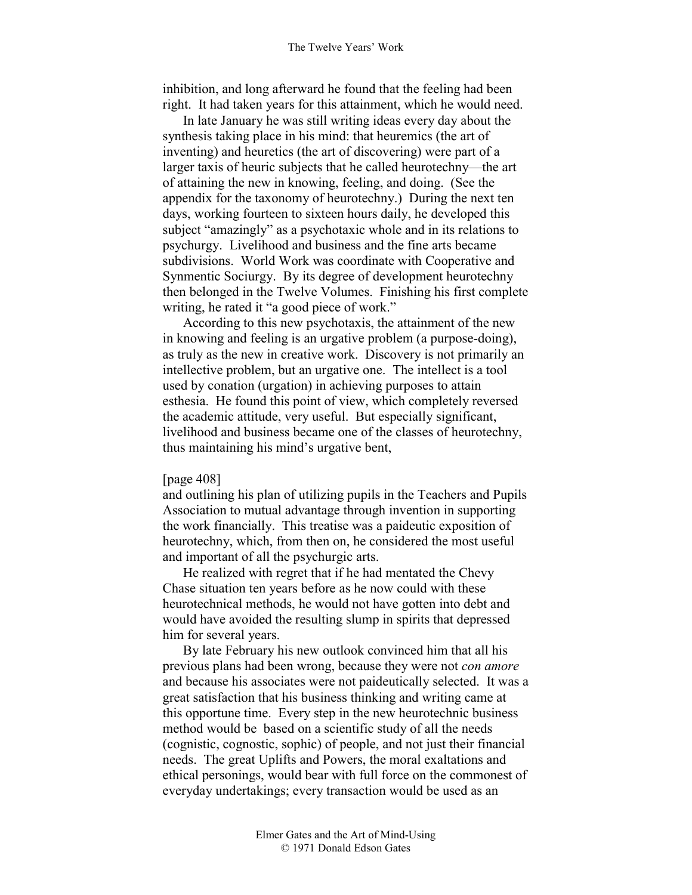inhibition, and long afterward he found that the feeling had been right. It had taken years for this attainment, which he would need.

In late January he was still writing ideas every day about the synthesis taking place in his mind: that heuremics (the art of inventing) and heuretics (the art of discovering) were part of a larger taxis of heuric subjects that he called heurotechny—the art of attaining the new in knowing, feeling, and doing. (See the appendix for the taxonomy of heurotechny.) During the next ten days, working fourteen to sixteen hours daily, he developed this subject "amazingly" as a psychotaxic whole and in its relations to psychurgy. Livelihood and business and the fine arts became subdivisions. World Work was coordinate with Cooperative and Synmentic Sociurgy. By its degree of development heurotechny then belonged in the Twelve Volumes. Finishing his first complete writing, he rated it "a good piece of work."

According to this new psychotaxis, the attainment of the new in knowing and feeling is an urgative problem (a purpose-doing), as truly as the new in creative work. Discovery is not primarily an intellective problem, but an urgative one. The intellect is a tool used by conation (urgation) in achieving purposes to attain esthesia. He found this point of view, which completely reversed the academic attitude, very useful. But especially significant, livelihood and business became one of the classes of heurotechny, thus maintaining his mind's urgative bent,

# [page 408]

and outlining his plan of utilizing pupils in the Teachers and Pupils Association to mutual advantage through invention in supporting the work financially. This treatise was a paideutic exposition of heurotechny, which, from then on, he considered the most useful and important of all the psychurgic arts.

He realized with regret that if he had mentated the Chevy Chase situation ten years before as he now could with these heurotechnical methods, he would not have gotten into debt and would have avoided the resulting slump in spirits that depressed him for several years.

By late February his new outlook convinced him that all his previous plans had been wrong, because they were not *con amore* and because his associates were not paideutically selected. It was a great satisfaction that his business thinking and writing came at this opportune time. Every step in the new heurotechnic business method would be based on a scientific study of all the needs (cognistic, cognostic, sophic) of people, and not just their financial needs. The great Uplifts and Powers, the moral exaltations and ethical personings, would bear with full force on the commonest of everyday undertakings; every transaction would be used as an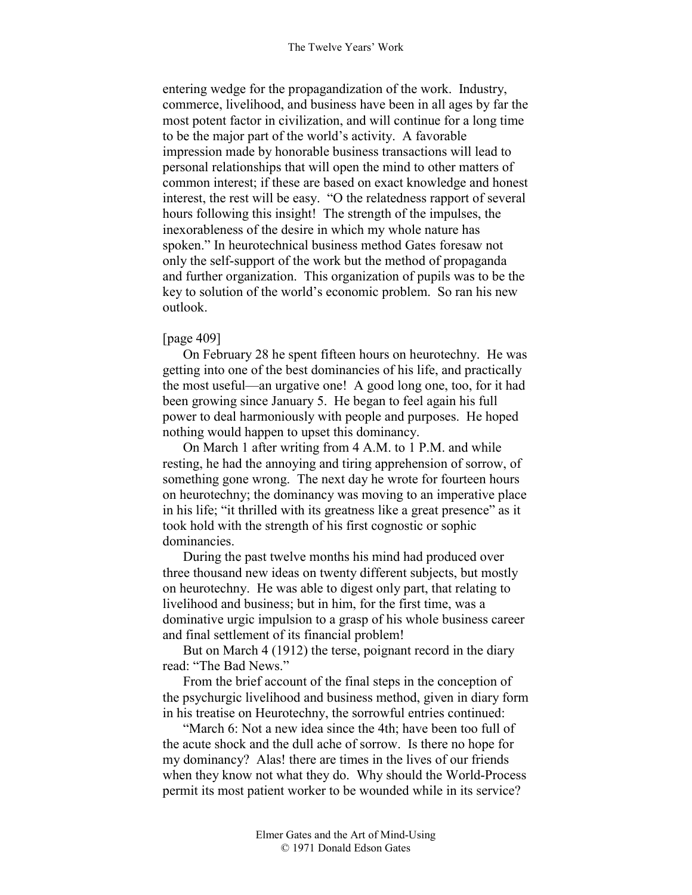entering wedge for the propagandization of the work. Industry, commerce, livelihood, and business have been in all ages by far the most potent factor in civilization, and will continue for a long time to be the major part of the world's activity. A favorable impression made by honorable business transactions will lead to personal relationships that will open the mind to other matters of common interest; if these are based on exact knowledge and honest interest, the rest will be easy. "O the relatedness rapport of several hours following this insight! The strength of the impulses, the inexorableness of the desire in which my whole nature has spoken." In heurotechnical business method Gates foresaw not only the self-support of the work but the method of propaganda and further organization. This organization of pupils was to be the key to solution of the world's economic problem. So ran his new outlook.

# [page 409]

On February 28 he spent fifteen hours on heurotechny. He was getting into one of the best dominancies of his life, and practically the most useful—an urgative one! A good long one, too, for it had been growing since January 5. He began to feel again his full power to deal harmoniously with people and purposes. He hoped nothing would happen to upset this dominancy.

On March 1 after writing from 4 A.M. to 1 P.M. and while resting, he had the annoying and tiring apprehension of sorrow, of something gone wrong. The next day he wrote for fourteen hours on heurotechny; the dominancy was moving to an imperative place in his life; "it thrilled with its greatness like a great presence" as it took hold with the strength of his first cognostic or sophic dominancies.

During the past twelve months his mind had produced over three thousand new ideas on twenty different subjects, but mostly on heurotechny. He was able to digest only part, that relating to livelihood and business; but in him, for the first time, was a dominative urgic impulsion to a grasp of his whole business career and final settlement of its financial problem!

But on March 4 (1912) the terse, poignant record in the diary read: "The Bad News."

From the brief account of the final steps in the conception of the psychurgic livelihood and business method, given in diary form in his treatise on Heurotechny, the sorrowful entries continued:

"March 6: Not a new idea since the 4th; have been too full of the acute shock and the dull ache of sorrow. Is there no hope for my dominancy? Alas! there are times in the lives of our friends when they know not what they do. Why should the World-Process permit its most patient worker to be wounded while in its service?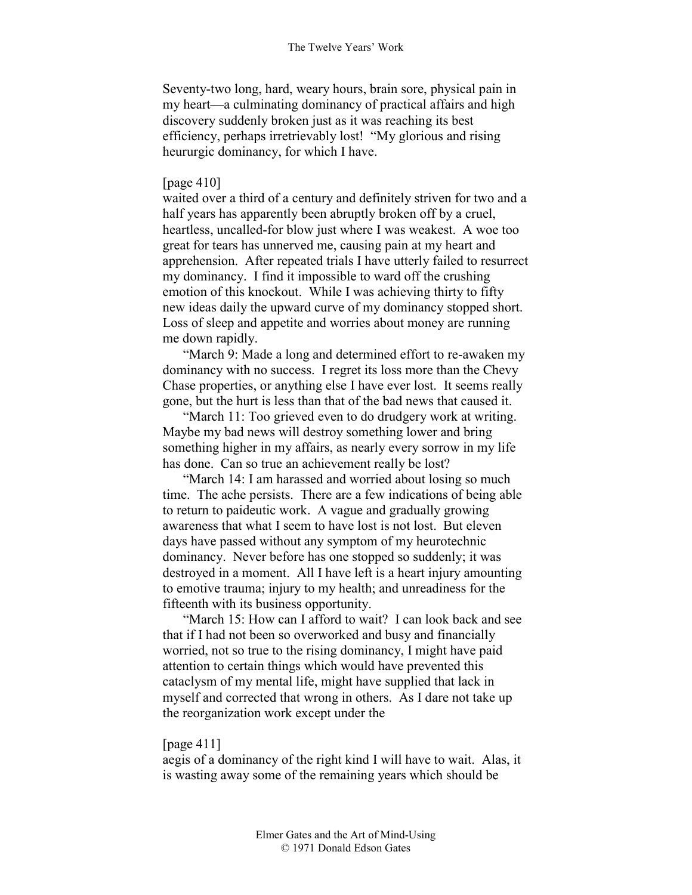Seventy-two long, hard, weary hours, brain sore, physical pain in my heart—a culminating dominancy of practical affairs and high discovery suddenly broken just as it was reaching its best efficiency, perhaps irretrievably lost! "My glorious and rising heururgic dominancy, for which I have.

# [page 410]

waited over a third of a century and definitely striven for two and a half years has apparently been abruptly broken off by a cruel, heartless, uncalled-for blow just where I was weakest. A woe too great for tears has unnerved me, causing pain at my heart and apprehension. After repeated trials I have utterly failed to resurrect my dominancy. I find it impossible to ward off the crushing emotion of this knockout. While I was achieving thirty to fifty new ideas daily the upward curve of my dominancy stopped short. Loss of sleep and appetite and worries about money are running me down rapidly.

"March 9: Made a long and determined effort to re-awaken my dominancy with no success. I regret its loss more than the Chevy Chase properties, or anything else I have ever lost. It seems really gone, but the hurt is less than that of the bad news that caused it.

"March 11: Too grieved even to do drudgery work at writing. Maybe my bad news will destroy something lower and bring something higher in my affairs, as nearly every sorrow in my life has done. Can so true an achievement really be lost?

"March 14: I am harassed and worried about losing so much time. The ache persists. There are a few indications of being able to return to paideutic work. A vague and gradually growing awareness that what I seem to have lost is not lost. But eleven days have passed without any symptom of my heurotechnic dominancy. Never before has one stopped so suddenly; it was destroyed in a moment. All I have left is a heart injury amounting to emotive trauma; injury to my health; and unreadiness for the fifteenth with its business opportunity.

"March 15: How can I afford to wait? I can look back and see that if I had not been so overworked and busy and financially worried, not so true to the rising dominancy, I might have paid attention to certain things which would have prevented this cataclysm of my mental life, might have supplied that lack in myself and corrected that wrong in others. As I dare not take up the reorganization work except under the

## [page 411]

aegis of a dominancy of the right kind I will have to wait. Alas, it is wasting away some of the remaining years which should be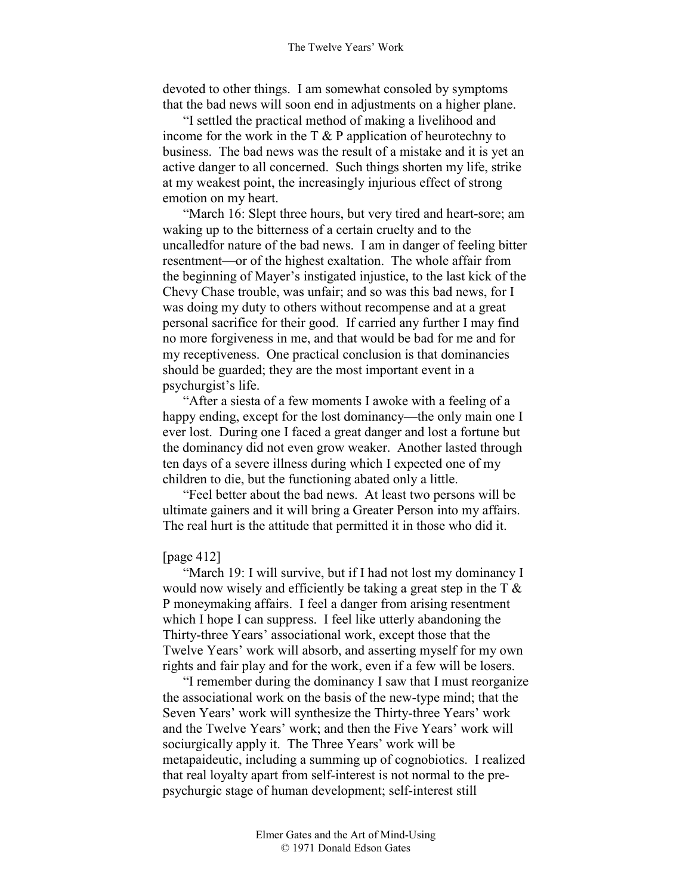devoted to other things. I am somewhat consoled by symptoms that the bad news will soon end in adjustments on a higher plane.

"I settled the practical method of making a livelihood and income for the work in the  $T \& P$  application of heurotechny to business. The bad news was the result of a mistake and it is yet an active danger to all concerned. Such things shorten my life, strike at my weakest point, the increasingly injurious effect of strong emotion on my heart.

"March 16: Slept three hours, but very tired and heart-sore; am waking up to the bitterness of a certain cruelty and to the uncalledfor nature of the bad news. I am in danger of feeling bitter resentment—or of the highest exaltation. The whole affair from the beginning of Mayer's instigated injustice, to the last kick of the Chevy Chase trouble, was unfair; and so was this bad news, for I was doing my duty to others without recompense and at a great personal sacrifice for their good. If carried any further I may find no more forgiveness in me, and that would be bad for me and for my receptiveness. One practical conclusion is that dominancies should be guarded; they are the most important event in a psychurgist's life.

"After a siesta of a few moments I awoke with a feeling of a happy ending, except for the lost dominancy—the only main one I ever lost. During one I faced a great danger and lost a fortune but the dominancy did not even grow weaker. Another lasted through ten days of a severe illness during which I expected one of my children to die, but the functioning abated only a little.

"Feel better about the bad news. At least two persons will be ultimate gainers and it will bring a Greater Person into my affairs. The real hurt is the attitude that permitted it in those who did it.

## [page 412]

"March 19: I will survive, but if I had not lost my dominancy I would now wisely and efficiently be taking a great step in the  $T \&$ P moneymaking affairs. I feel a danger from arising resentment which I hope I can suppress. I feel like utterly abandoning the Thirty-three Years' associational work, except those that the Twelve Years' work will absorb, and asserting myself for my own rights and fair play and for the work, even if a few will be losers.

"I remember during the dominancy I saw that I must reorganize the associational work on the basis of the new-type mind; that the Seven Years' work will synthesize the Thirty-three Years' work and the Twelve Years' work; and then the Five Years' work will sociurgically apply it. The Three Years' work will be metapaideutic, including a summing up of cognobiotics. I realized that real loyalty apart from self-interest is not normal to the prepsychurgic stage of human development; self-interest still